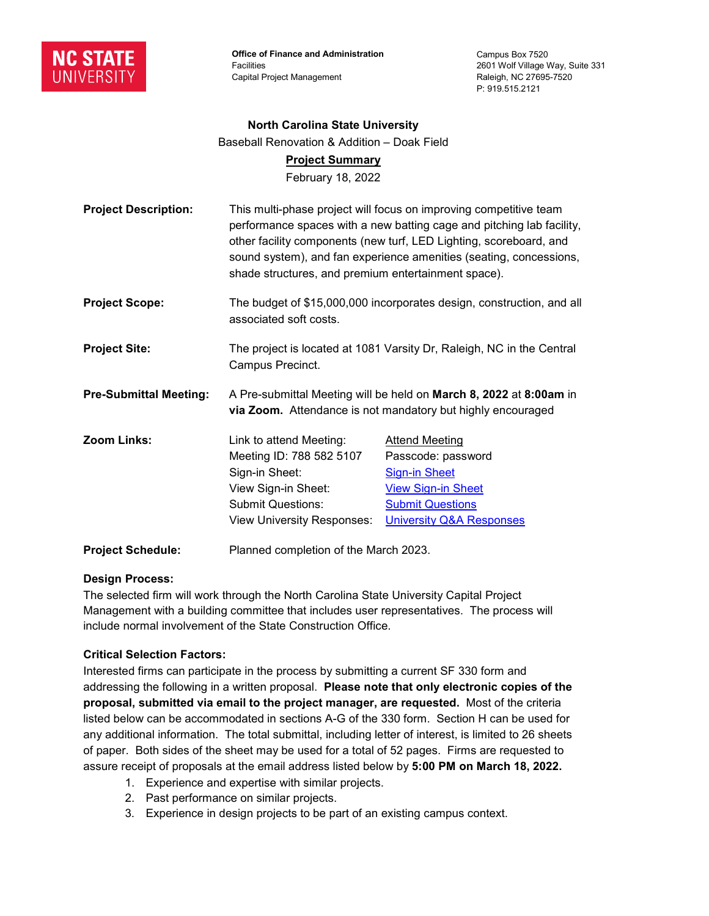

**Office of Finance and Administration Facilities** Capital Project Management

Campus Box 7520 2601 Wolf Village Way, Suite 331 Raleigh, NC 27695-7520 P: 919.515.2121

#### **North Carolina State University**

Baseball Renovation & Addition – Doak Field

### **Project Summary**

February 18, 2022

| <b>Project Description:</b>   | This multi-phase project will focus on improving competitive team<br>performance spaces with a new batting cage and pitching lab facility,<br>other facility components (new turf, LED Lighting, scoreboard, and<br>sound system), and fan experience amenities (seating, concessions,<br>shade structures, and premium entertainment space). |                                     |
|-------------------------------|-----------------------------------------------------------------------------------------------------------------------------------------------------------------------------------------------------------------------------------------------------------------------------------------------------------------------------------------------|-------------------------------------|
| <b>Project Scope:</b>         | The budget of \$15,000,000 incorporates design, construction, and all<br>associated soft costs.                                                                                                                                                                                                                                               |                                     |
| <b>Project Site:</b>          | The project is located at 1081 Varsity Dr, Raleigh, NC in the Central<br>Campus Precinct.                                                                                                                                                                                                                                                     |                                     |
| <b>Pre-Submittal Meeting:</b> | A Pre-submittal Meeting will be held on March 8, 2022 at 8:00am in<br>via Zoom. Attendance is not mandatory but highly encouraged                                                                                                                                                                                                             |                                     |
| Zoom Links:                   | Link to attend Meeting:                                                                                                                                                                                                                                                                                                                       | <b>Attend Meeting</b>               |
|                               | Meeting ID: 788 582 5107                                                                                                                                                                                                                                                                                                                      | Passcode: password                  |
|                               | Sign-in Sheet:                                                                                                                                                                                                                                                                                                                                | <b>Sign-in Sheet</b>                |
|                               | View Sign-in Sheet:                                                                                                                                                                                                                                                                                                                           | <b>View Sign-in Sheet</b>           |
|                               | <b>Submit Questions:</b>                                                                                                                                                                                                                                                                                                                      | <b>Submit Questions</b>             |
|                               | <b>View University Responses:</b>                                                                                                                                                                                                                                                                                                             | <b>University Q&amp;A Responses</b> |
| <b>Project Schedule:</b>      | Planned completion of the March 2023.                                                                                                                                                                                                                                                                                                         |                                     |

### **Design Process:**

The selected firm will work through the North Carolina State University Capital Project Management with a building committee that includes user representatives. The process will include normal involvement of the State Construction Office.

## **Critical Selection Factors:**

Interested firms can participate in the process by submitting a current SF 330 form and addressing the following in a written proposal. **Please note that only electronic copies of the proposal, submitted via email to the project manager, are requested.** Most of the criteria listed below can be accommodated in sections A-G of the 330 form. Section H can be used for any additional information. The total submittal, including letter of interest, is limited to 26 sheets of paper. Both sides of the sheet may be used for a total of 52 pages. Firms are requested to assure receipt of proposals at the email address listed below by **5:00 PM on March 18, 2022.**

- 1. Experience and expertise with similar projects.
- 2. Past performance on similar projects.
- 3. Experience in design projects to be part of an existing campus context.